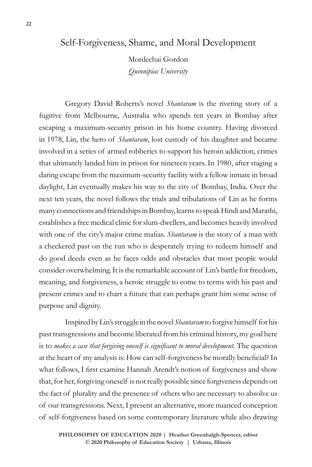# Self-Forgiveness, Shame, and Moral Development

Mordechai Gordon *Quinnipiac University*

Gregory David Roberts's novel *Shantaram* is the riveting story of a fugitive from Melbourne, Australia who spends ten years in Bombay after escaping a maximum-security prison in his home country. Having divorced in 1978, Lin, the hero of *Shantaram*, lost custody of his daughter and became involved in a series of armed robberies to support his heroin addiction, crimes that ultimately landed him in prison for nineteen years. In 1980, after staging a daring escape from the maximum-security facility with a fellow inmate in broad daylight, Lin eventually makes his way to the city of Bombay, India. Over the next ten years, the novel follows the trials and tribulations of Lin as he forms many connections and friendships in Bombay, learns to speak Hindi and Marathi, establishes a free medical clinic for slum-dwellers, and becomes heavily involved with one of the city's major crime mafias. *Shantaram* is the story of a man with a checkered past on the run who is desperately trying to redeem himself and do good deeds even as he faces odds and obstacles that most people would consider overwhelming. It is the remarkable account of Lin's battle for freedom, meaning, and forgiveness, a heroic struggle to come to terms with his past and present crimes and to chart a future that can perhaps grant him some sense of purpose and dignity.

Inspired by Lin's struggle in the novel *Shantaram* to forgive himself for his past transgressions and become liberated from his criminal history, my goal here is to *makes a case that forgiving oneself is significant to moral development*. The question at the heart of my analysis is: How can self-forgiveness be morally beneficial? In what follows, I first examine Hannah Arendt's notion of forgiveness and show that, for her, forgiving oneself is not really possible since forgiveness depends on the fact of plurality and the presence of others who are necessary to absolve us of our transgressions. Next, I present an alternative, more nuanced conception of self-forgiveness based on some contemporary literature while also drawing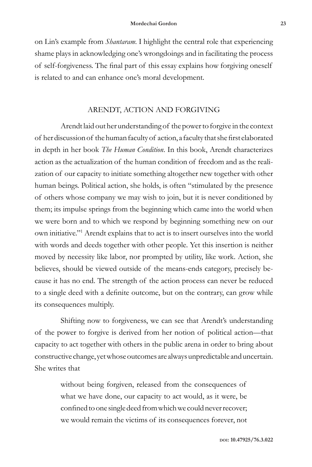on Lin's example from *Shantaram*. I highlight the central role that experiencing shame plays in acknowledging one's wrongdoings and in facilitating the process of self-forgiveness. The final part of this essay explains how forgiving oneself is related to and can enhance one's moral development.

# ARENDT, ACTION AND FORGIVING

Arendt laid out her understanding of the power to forgive in the context of her discussion of the human faculty of action, a faculty that she first elaborated in depth in her book *The Human Condition*. In this book, Arendt characterizes action as the actualization of the human condition of freedom and as the realization of our capacity to initiate something altogether new together with other human beings. Political action, she holds, is often "stimulated by the presence of others whose company we may wish to join, but it is never conditioned by them; its impulse springs from the beginning which came into the world when we were born and to which we respond by beginning something new on our own initiative."1 Arendt explains that to act is to insert ourselves into the world with words and deeds together with other people. Yet this insertion is neither moved by necessity like labor, nor prompted by utility, like work. Action, she believes, should be viewed outside of the means-ends category, precisely because it has no end. The strength of the action process can never be reduced to a single deed with a definite outcome, but on the contrary, can grow while its consequences multiply.

Shifting now to forgiveness, we can see that Arendt's understanding of the power to forgive is derived from her notion of political action—that capacity to act together with others in the public arena in order to bring about constructive change, yet whose outcomes are always unpredictable and uncertain. She writes that

> without being forgiven, released from the consequences of what we have done, our capacity to act would, as it were, be confined to one single deed from which we could never recover; we would remain the victims of its consequences forever, not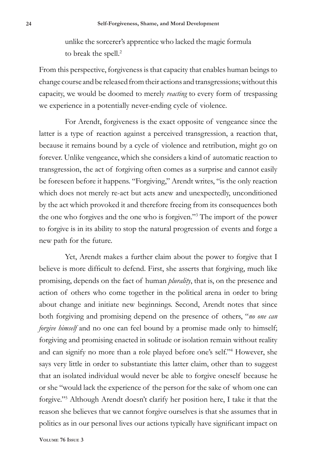unlike the sorcerer's apprentice who lacked the magic formula to break the spell.<sup>2</sup>

From this perspective, forgiveness is that capacity that enables human beings to change course and be released from their actions and transgressions; without this capacity, we would be doomed to merely *reacting* to every form of trespassing we experience in a potentially never-ending cycle of violence.

For Arendt, forgiveness is the exact opposite of vengeance since the latter is a type of reaction against a perceived transgression, a reaction that, because it remains bound by a cycle of violence and retribution, might go on forever. Unlike vengeance, which she considers a kind of automatic reaction to transgression, the act of forgiving often comes as a surprise and cannot easily be foreseen before it happens. "Forgiving," Arendt writes, "is the only reaction which does not merely re-act but acts anew and unexpectedly, unconditioned by the act which provoked it and therefore freeing from its consequences both the one who forgives and the one who is forgiven."3 The import of the power to forgive is in its ability to stop the natural progression of events and forge a new path for the future.

Yet, Arendt makes a further claim about the power to forgive that I believe is more difficult to defend. First, she asserts that forgiving, much like promising, depends on the fact of human *plurality*, that is, on the presence and action of others who come together in the political arena in order to bring about change and initiate new beginnings. Second, Arendt notes that since both forgiving and promising depend on the presence of others, "*no one can forgive himself* and no one can feel bound by a promise made only to himself; forgiving and promising enacted in solitude or isolation remain without reality and can signify no more than a role played before one's self."4 However, she says very little in order to substantiate this latter claim, other than to suggest that an isolated individual would never be able to forgive oneself because he or she "would lack the experience of the person for the sake of whom one can forgive."5 Although Arendt doesn't clarify her position here, I take it that the reason she believes that we cannot forgive ourselves is that she assumes that in politics as in our personal lives our actions typically have significant impact on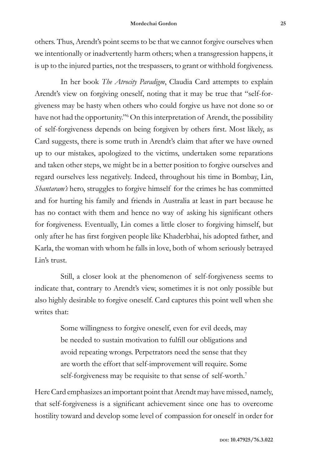others. Thus, Arendt's point seems to be that we cannot forgive ourselves when we intentionally or inadvertently harm others; when a transgression happens, it is up to the injured parties, not the trespassers, to grant or withhold forgiveness.

In her book *The Atrocity Paradigm*, Claudia Card attempts to explain Arendt's view on forgiving oneself, noting that it may be true that "self-forgiveness may be hasty when others who could forgive us have not done so or have not had the opportunity."6 On this interpretation of Arendt, the possibility of self-forgiveness depends on being forgiven by others first. Most likely, as Card suggests, there is some truth in Arendt's claim that after we have owned up to our mistakes, apologized to the victims, undertaken some reparations and taken other steps, we might be in a better position to forgive ourselves and regard ourselves less negatively. Indeed, throughout his time in Bombay, Lin, *Shantaram's* hero, struggles to forgive himself for the crimes he has committed and for hurting his family and friends in Australia at least in part because he has no contact with them and hence no way of asking his significant others for forgiveness. Eventually, Lin comes a little closer to forgiving himself, but only after he has first forgiven people like Khaderbhai, his adopted father, and Karla, the woman with whom he falls in love, both of whom seriously betrayed Lin's trust.

Still, a closer look at the phenomenon of self-forgiveness seems to indicate that, contrary to Arendt's view, sometimes it is not only possible but also highly desirable to forgive oneself. Card captures this point well when she writes that:

> Some willingness to forgive oneself, even for evil deeds, may be needed to sustain motivation to fulfill our obligations and avoid repeating wrongs. Perpetrators need the sense that they are worth the effort that self-improvement will require. Some self-forgiveness may be requisite to that sense of self-worth.<sup>7</sup>

Here Card emphasizes an important point that Arendt may have missed, namely, that self-forgiveness is a significant achievement since one has to overcome hostility toward and develop some level of compassion for oneself in order for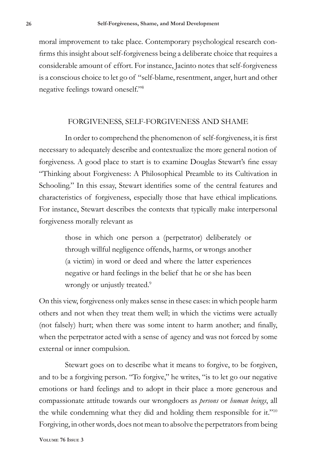moral improvement to take place. Contemporary psychological research confirms this insight about self-forgiveness being a deliberate choice that requires a considerable amount of effort. For instance, Jacinto notes that self-forgiveness is a conscious choice to let go of "self-blame, resentment, anger, hurt and other negative feelings toward oneself."8

### FORGIVENESS, SELF-FORGIVENESS AND SHAME

In order to comprehend the phenomenon of self-forgiveness, it is first necessary to adequately describe and contextualize the more general notion of forgiveness. A good place to start is to examine Douglas Stewart's fine essay "Thinking about Forgiveness: A Philosophical Preamble to its Cultivation in Schooling." In this essay, Stewart identifies some of the central features and characteristics of forgiveness, especially those that have ethical implications. For instance, Stewart describes the contexts that typically make interpersonal forgiveness morally relevant as

> those in which one person a (perpetrator) deliberately or through willful negligence offends, harms, or wrongs another (a victim) in word or deed and where the latter experiences negative or hard feelings in the belief that he or she has been wrongly or unjustly treated.<sup>9</sup>

On this view, forgiveness only makes sense in these cases: in which people harm others and not when they treat them well; in which the victims were actually (not falsely) hurt; when there was some intent to harm another; and finally, when the perpetrator acted with a sense of agency and was not forced by some external or inner compulsion.

Stewart goes on to describe what it means to forgive, to be forgiven, and to be a forgiving person. "To forgive," he writes, "is to let go our negative emotions or hard feelings and to adopt in their place a more generous and compassionate attitude towards our wrongdoers as *persons* or *human beings*, all the while condemning what they did and holding them responsible for it."<sup>10</sup> Forgiving, in other words, does not mean to absolve the perpetrators from being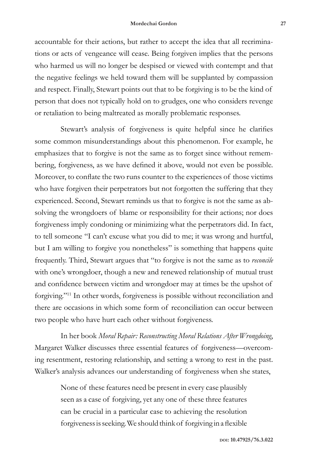#### **Mordechai Gordon 27**

accountable for their actions, but rather to accept the idea that all recriminations or acts of vengeance will cease. Being forgiven implies that the persons who harmed us will no longer be despised or viewed with contempt and that the negative feelings we held toward them will be supplanted by compassion and respect. Finally, Stewart points out that to be forgiving is to be the kind of person that does not typically hold on to grudges, one who considers revenge or retaliation to being maltreated as morally problematic responses.

Stewart's analysis of forgiveness is quite helpful since he clarifies some common misunderstandings about this phenomenon. For example, he emphasizes that to forgive is not the same as to forget since without remembering, forgiveness, as we have defined it above, would not even be possible. Moreover, to conflate the two runs counter to the experiences of those victims who have forgiven their perpetrators but not forgotten the suffering that they experienced. Second, Stewart reminds us that to forgive is not the same as absolving the wrongdoers of blame or responsibility for their actions; nor does forgiveness imply condoning or minimizing what the perpetrators did. In fact, to tell someone "I can't excuse what you did to me; it was wrong and hurtful, but I am willing to forgive you nonetheless" is something that happens quite frequently. Third, Stewart argues that "to forgive is not the same as to *reconcile* with one's wrongdoer, though a new and renewed relationship of mutual trust and confidence between victim and wrongdoer may at times be the upshot of forgiving."11 In other words, forgiveness is possible without reconciliation and there are occasions in which some form of reconciliation can occur between two people who have hurt each other without forgiveness.

In her book *Moral Repair: Reconstructing Moral Relations After Wrongdoing*, Margaret Walker discusses three essential features of forgiveness—overcoming resentment, restoring relationship, and setting a wrong to rest in the past. Walker's analysis advances our understanding of forgiveness when she states,

> None of these features need be present in every case plausibly seen as a case of forgiving, yet any one of these three features can be crucial in a particular case to achieving the resolution forgiveness is seeking. We should think of forgiving in a flexible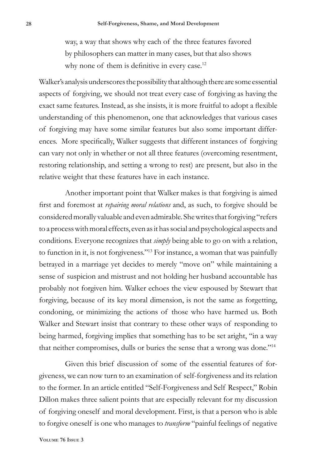way, a way that shows why each of the three features favored by philosophers can matter in many cases, but that also shows why none of them is definitive in every case.<sup>12</sup>

Walker's analysis underscores the possibility that although there are some essential aspects of forgiving, we should not treat every case of forgiving as having the exact same features. Instead, as she insists, it is more fruitful to adopt a flexible understanding of this phenomenon, one that acknowledges that various cases of forgiving may have some similar features but also some important differences. More specifically, Walker suggests that different instances of forgiving can vary not only in whether or not all three features (overcoming resentment, restoring relationship, and setting a wrong to rest) are present, but also in the relative weight that these features have in each instance.

Another important point that Walker makes is that forgiving is aimed first and foremost at *repairing moral relations* and, as such, to forgive should be considered morally valuable and even admirable. She writes that forgiving "refers to a process with moral effects, even as it has social and psychological aspects and conditions. Everyone recognizes that *simply* being able to go on with a relation, to function in it, is not forgiveness."13 For instance, a woman that was painfully betrayed in a marriage yet decides to merely "move on" while maintaining a sense of suspicion and mistrust and not holding her husband accountable has probably not forgiven him. Walker echoes the view espoused by Stewart that forgiving, because of its key moral dimension, is not the same as forgetting, condoning, or minimizing the actions of those who have harmed us. Both Walker and Stewart insist that contrary to these other ways of responding to being harmed, forgiving implies that something has to be set aright, "in a way that neither compromises, dulls or buries the sense that a wrong was done."14

Given this brief discussion of some of the essential features of forgiveness, we can now turn to an examination of self-forgiveness and its relation to the former. In an article entitled "Self-Forgiveness and Self Respect," Robin Dillon makes three salient points that are especially relevant for my discussion of forgiving oneself and moral development. First, is that a person who is able to forgive oneself is one who manages to *transform* "painful feelings of negative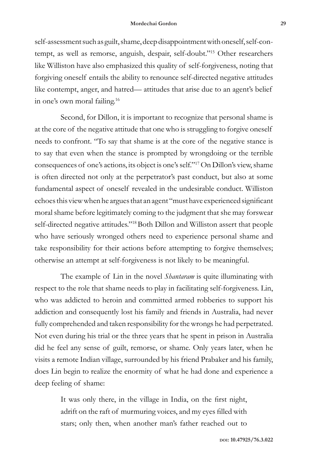self-assessment such as guilt, shame, deep disappointment with oneself, self-contempt, as well as remorse, anguish, despair, self-doubt."15 Other researchers like Williston have also emphasized this quality of self-forgiveness, noting that forgiving oneself entails the ability to renounce self-directed negative attitudes like contempt, anger, and hatred— attitudes that arise due to an agent's belief in one's own moral failing.16

Second, for Dillon, it is important to recognize that personal shame is at the core of the negative attitude that one who is struggling to forgive oneself needs to confront. "To say that shame is at the core of the negative stance is to say that even when the stance is prompted by wrongdoing or the terrible consequences of one's actions, its object is one's self."17 On Dillon's view, shame is often directed not only at the perpetrator's past conduct, but also at some fundamental aspect of oneself revealed in the undesirable conduct. Williston echoes this view when he argues that an agent "must have experienced significant moral shame before legitimately coming to the judgment that she may forswear self-directed negative attitudes."<sup>18</sup> Both Dillon and Williston assert that people who have seriously wronged others need to experience personal shame and take responsibility for their actions before attempting to forgive themselves; otherwise an attempt at self-forgiveness is not likely to be meaningful.

The example of Lin in the novel *Shantaram* is quite illuminating with respect to the role that shame needs to play in facilitating self-forgiveness. Lin, who was addicted to heroin and committed armed robberies to support his addiction and consequently lost his family and friends in Australia, had never fully comprehended and taken responsibility for the wrongs he had perpetrated. Not even during his trial or the three years that he spent in prison in Australia did he feel any sense of guilt, remorse, or shame. Only years later, when he visits a remote Indian village, surrounded by his friend Prabaker and his family, does Lin begin to realize the enormity of what he had done and experience a deep feeling of shame:

> It was only there, in the village in India, on the first night, adrift on the raft of murmuring voices, and my eyes filled with stars; only then, when another man's father reached out to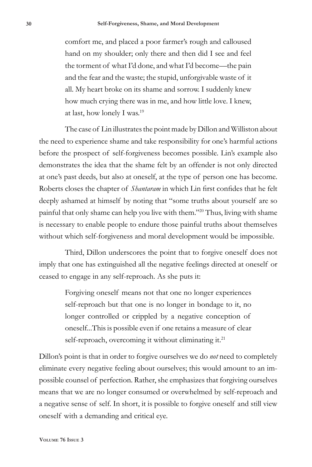comfort me, and placed a poor farmer's rough and calloused hand on my shoulder; only there and then did I see and feel the torment of what I'd done, and what I'd become—the pain and the fear and the waste; the stupid, unforgivable waste of it all. My heart broke on its shame and sorrow. I suddenly knew how much crying there was in me, and how little love. I knew, at last, how lonely I was.19

The case of Lin illustrates the point made by Dillon and Williston about the need to experience shame and take responsibility for one's harmful actions before the prospect of self-forgiveness becomes possible. Lin's example also demonstrates the idea that the shame felt by an offender is not only directed at one's past deeds, but also at oneself, at the type of person one has become. Roberts closes the chapter of *Shantaram* in which Lin first confides that he felt deeply ashamed at himself by noting that "some truths about yourself are so painful that only shame can help you live with them."20 Thus, living with shame is necessary to enable people to endure those painful truths about themselves without which self-forgiveness and moral development would be impossible.

Third, Dillon underscores the point that to forgive oneself does not imply that one has extinguished all the negative feelings directed at oneself or ceased to engage in any self-reproach. As she puts it:

> Forgiving oneself means not that one no longer experiences self-reproach but that one is no longer in bondage to it, no longer controlled or crippled by a negative conception of oneself...This is possible even if one retains a measure of clear self-reproach, overcoming it without eliminating it.<sup>21</sup>

Dillon's point is that in order to forgive ourselves we do *not* need to completely eliminate every negative feeling about ourselves; this would amount to an impossible counsel of perfection. Rather, she emphasizes that forgiving ourselves means that we are no longer consumed or overwhelmed by self-reproach and a negative sense of self. In short, it is possible to forgive oneself and still view oneself with a demanding and critical eye.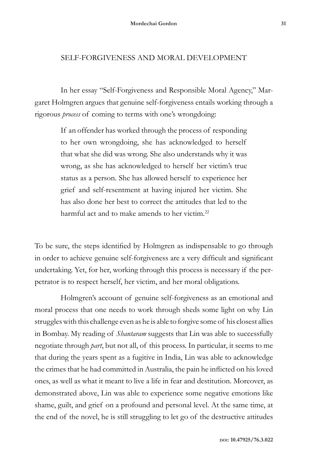## SELF-FORGIVENESS AND MORAL DEVELOPMENT

In her essay "Self-Forgiveness and Responsible Moral Agency," Margaret Holmgren argues that genuine self-forgiveness entails working through a rigorous *process* of coming to terms with one's wrongdoing:

> If an offender has worked through the process of responding to her own wrongdoing, she has acknowledged to herself that what she did was wrong. She also understands why it was wrong, as she has acknowledged to herself her victim's true status as a person. She has allowed herself to experience her grief and self-resentment at having injured her victim. She has also done her best to correct the attitudes that led to the harmful act and to make amends to her victim.<sup>22</sup>

To be sure, the steps identified by Holmgren as indispensable to go through in order to achieve genuine self-forgiveness are a very difficult and significant undertaking. Yet, for her, working through this process is necessary if the perpetrator is to respect herself, her victim, and her moral obligations.

Holmgren's account of genuine self-forgiveness as an emotional and moral process that one needs to work through sheds some light on why Lin struggles with this challenge even as he is able to forgive some of his closest allies in Bombay. My reading of *Shantaram* suggests that Lin was able to successfully negotiate through *part*, but not all, of this process. In particular, it seems to me that during the years spent as a fugitive in India, Lin was able to acknowledge the crimes that he had committed in Australia, the pain he inflicted on his loved ones, as well as what it meant to live a life in fear and destitution. Moreover, as demonstrated above, Lin was able to experience some negative emotions like shame, guilt, and grief on a profound and personal level. At the same time, at the end of the novel, he is still struggling to let go of the destructive attitudes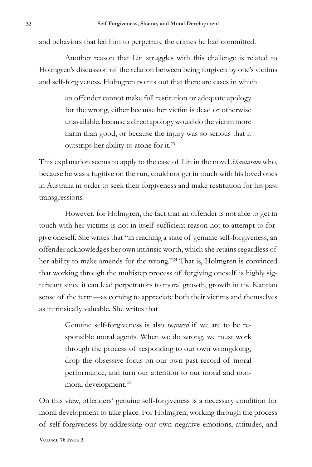and behaviors that led him to perpetrate the crimes he had committed.

Another reason that Lin struggles with this challenge is related to Holmgren's discussion of the relation between being forgiven by one's victims and self-forgiveness. Holmgren points out that there are cases in which

> an offender cannot make full restitution or adequate apology for the wrong, either because her victim is dead or otherwise unavailable, because a direct apology would do the victim more harm than good, or because the injury was so serious that it outstrips her ability to atone for it.23

This explanation seems to apply to the case of Lin in the novel *Shantaram* who, because he was a fugitive on the run, could not get in touch with his loved ones in Australia in order to seek their forgiveness and make restitution for his past transgressions.

However, for Holmgren, the fact that an offender is not able to get in touch with her victims is not in-itself sufficient reason not to attempt to forgive oneself. She writes that "in reaching a state of genuine self-forgiveness, an offender acknowledges her own intrinsic worth, which she retains regardless of her ability to make amends for the wrong."<sup>24</sup> That is, Holmgren is convinced that working through the multistep process of forgiving oneself is highly significant since it can lead perpetrators to moral growth, growth in the Kantian sense of the term—as coming to appreciate both their victims and themselves as intrinsically valuable. She writes that

> Genuine self-forgiveness is also *required* if we are to be responsible moral agents. When we do wrong, we must work through the process of responding to our own wrongdoing, drop the obsessive focus on our own past record of moral performance, and turn our attention to our moral and nonmoral development.25

On this view, offenders' genuine self-forgiveness is a necessary condition for moral development to take place. For Holmgren, working through the process of self-forgiveness by addressing our own negative emotions, attitudes, and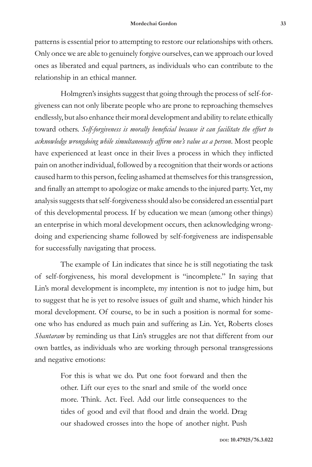patterns is essential prior to attempting to restore our relationships with others. Only once we are able to genuinely forgive ourselves, can we approach our loved ones as liberated and equal partners, as individuals who can contribute to the relationship in an ethical manner.

Holmgren's insights suggest that going through the process of self-forgiveness can not only liberate people who are prone to reproaching themselves endlessly, but also enhance their moral development and ability to relate ethically toward others. *Self-forgiveness is morally beneficial because it can facilitate the effort to acknowledge wrongdoing while simultaneously affirm one's value as a person*. Most people have experienced at least once in their lives a process in which they inflicted pain on another individual, followed by a recognition that their words or actions caused harm to this person, feeling ashamed at themselves for this transgression, and finally an attempt to apologize or make amends to the injured party. Yet, my analysis suggests that self-forgiveness should also be considered an essential part of this developmental process. If by education we mean (among other things) an enterprise in which moral development occurs, then acknowledging wrongdoing and experiencing shame followed by self-forgiveness are indispensable for successfully navigating that process*.*

The example of Lin indicates that since he is still negotiating the task of self-forgiveness, his moral development is "incomplete." In saying that Lin's moral development is incomplete, my intention is not to judge him, but to suggest that he is yet to resolve issues of guilt and shame, which hinder his moral development. Of course, to be in such a position is normal for someone who has endured as much pain and suffering as Lin. Yet, Roberts closes *Shantaram* by reminding us that Lin's struggles are not that different from our own battles, as individuals who are working through personal transgressions and negative emotions:

> For this is what we do. Put one foot forward and then the other. Lift our eyes to the snarl and smile of the world once more. Think. Act. Feel. Add our little consequences to the tides of good and evil that flood and drain the world. Drag our shadowed crosses into the hope of another night. Push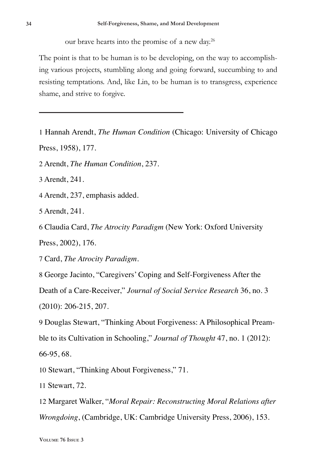our brave hearts into the promise of a new day.<sup>26</sup>

The point is that to be human is to be developing, on the way to accomplishing various projects, stumbling along and going forward, succumbing to and resisting temptations. And, like Lin, to be human is to transgress, experience shame, and strive to forgive.

1 Hannah Arendt, *The Human Condition* (Chicago: University of Chicago Press, 1958), 177.

2 Arendt, *The Human Condition*, 237.

3 Arendt, 241.

4 Arendt, 237, emphasis added.

5 Arendt, 241.

6 Claudia Card, *The Atrocity Paradigm* (New York: Oxford University

Press, 2002), 176.

7 Card, *The Atrocity Paradigm*.

8 George Jacinto, "Caregivers' Coping and Self-Forgiveness After the

Death of a Care-Receiver," *Journal of Social Service Research* 36, no. 3

(2010): 206-215, 207.

9 Douglas Stewart, "Thinking About Forgiveness: A Philosophical Preamble to its Cultivation in Schooling," *Journal of Thought* 47, no. 1 (2012): 66-95, 68.

10 Stewart, "Thinking About Forgiveness," 71.

11 Stewart, 72.

12 Margaret Walker, "*Moral Repair: Reconstructing Moral Relations after Wrongdoing*, (Cambridge, UK: Cambridge University Press, 2006), 153.